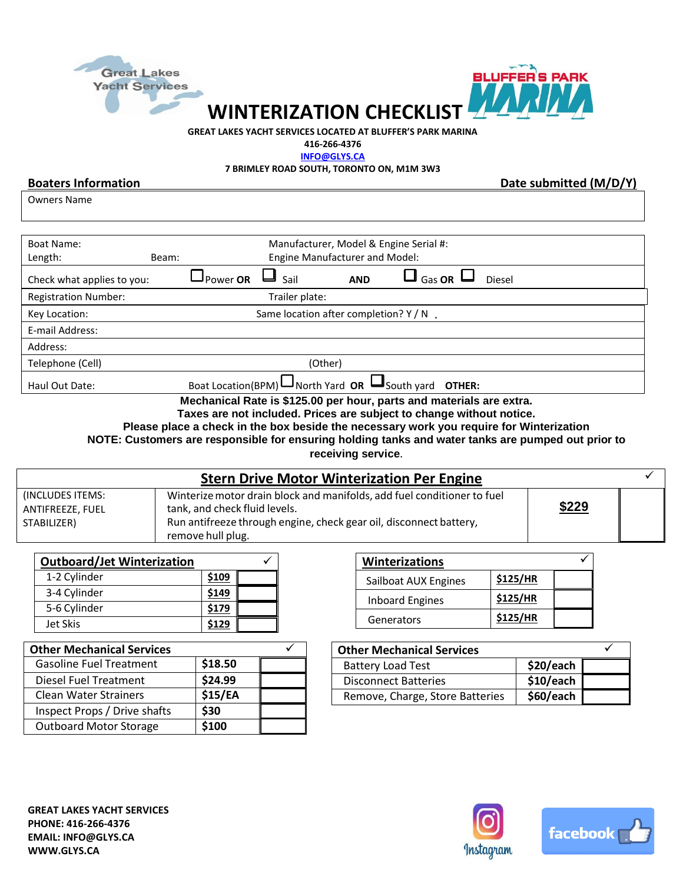



**WINTERIZATION CHECKLIST**

**GREAT LAKES YACHT SERVICES LOCATED AT BLUFFER'S PARK MARINA**

**416-266-4376**

**[INFO@GLYS.CA](mailto:INFO@GLYS.CA)**

**7 BRIMLEY ROAD SOUTH, TORONTO ON, M1M 3W3**

**Boaters Information** Date submitted (M/D/Y)

Owners Name

| Boat Name:<br>Length:<br>Beam: | Manufacturer, Model & Engine Serial #:<br><b>Engine Manufacturer and Model:</b>      |  |  |  |  |
|--------------------------------|--------------------------------------------------------------------------------------|--|--|--|--|
| Check what applies to you:     | $\overline{\Box}$ Gas OR<br>J Power <b>OR</b><br>Sail<br><b>Diesel</b><br><b>AND</b> |  |  |  |  |
| <b>Registration Number:</b>    | Trailer plate:                                                                       |  |  |  |  |
| Key Location:                  | Same location after completion? Y / N                                                |  |  |  |  |
| E-mail Address:                |                                                                                      |  |  |  |  |
| Address:                       |                                                                                      |  |  |  |  |
| Telephone (Cell)               | (Other)                                                                              |  |  |  |  |
| Haul Out Date:                 | Boat Location(BPM) $\Box$ North Yard <b>OR</b> $\Box$ South yard<br>OTHER:           |  |  |  |  |

**Mechanical Rate is \$125.00 per hour, parts and materials are extra.**

**Taxes are not included. Prices are subject to change without notice.**

**Please place a check in the box beside the necessary work you require for Winterization** 

**NOTE: Customers are responsible for ensuring holding tanks and water tanks are pumped out prior to** 

**receiving service**.

| <b>Stern Drive Motor Winterization Per Engine</b>   |                                                                                                                                                                                                     |       |  |  |
|-----------------------------------------------------|-----------------------------------------------------------------------------------------------------------------------------------------------------------------------------------------------------|-------|--|--|
| (INCLUDES ITEMS:<br>ANTIFREEZE, FUEL<br>STABILIZER) | Winterize motor drain block and manifolds, add fuel conditioner to fuel<br>tank, and check fluid levels.<br>Run antifreeze through engine, check gear oil, disconnect battery,<br>remove hull plug. | \$229 |  |  |

| <b>Outboard/Jet Winterization</b> |       |  |
|-----------------------------------|-------|--|
| 1-2 Cylinder                      | \$109 |  |
| 3-4 Cylinder                      | \$149 |  |
| 5-6 Cylinder                      | \$179 |  |
| Jet Skis                          | \$129 |  |

| <b>Winterizations</b>  |          |  |
|------------------------|----------|--|
| Sailboat AUX Engines   | \$125/HR |  |
| <b>Inboard Engines</b> | \$125/HR |  |
| Generators             | \$125/HR |  |

| <b>Other Mechanical Services</b> |         |  |
|----------------------------------|---------|--|
| <b>Gasoline Fuel Treatment</b>   | \$18.50 |  |
| <b>Diesel Fuel Treatment</b>     | \$24.99 |  |
| <b>Clean Water Strainers</b>     | \$15/EA |  |
| Inspect Props / Drive shafts     | \$30    |  |
| <b>Outboard Motor Storage</b>    | \$100   |  |

| <b>Other Mechanical Services</b> |           |  |
|----------------------------------|-----------|--|
| <b>Battery Load Test</b>         | \$20/each |  |
| <b>Disconnect Batteries</b>      | \$10/each |  |
| Remove, Charge, Store Batteries  | \$60/each |  |
|                                  |           |  |